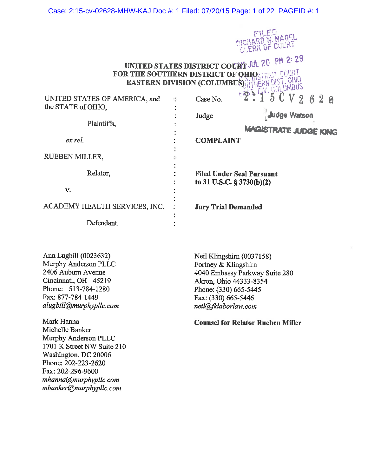### Case: 2:15-cv-02628-MHW-KAJ Doc #: 1 Filed: 07/20/15 Page: 1 of 22 PAGEID #: 1



UNITED STATES DISTRICT COURT JUL 20 PM 2: 28 **FOR THE SOUTHERN DISTRICT OF ORIOS TRICT COURT** EASTERN DIVISION (COLUMBUS) UTHERN DIST. OHIO

| UNITED STATES OF AMERICA, and |  | 2 - 1 0 U V 2 6 2 8<br>Case No.  |  |  |
|-------------------------------|--|----------------------------------|--|--|
| the STATE of OHIO.            |  |                                  |  |  |
|                               |  | Judge Watson<br>Judge            |  |  |
| Plaintiffs,                   |  |                                  |  |  |
|                               |  | <b>MAGISTRATE JUDGE KING</b>     |  |  |
| ex rel.                       |  | <b>COMPLAINT</b>                 |  |  |
|                               |  |                                  |  |  |
| <b>RUEBEN MILLER,</b>         |  |                                  |  |  |
|                               |  |                                  |  |  |
| Relator,                      |  | <b>Filed Under Seal Pursuant</b> |  |  |
|                               |  | to 31 U.S.C. § 3730(b)(2)        |  |  |
| v.                            |  |                                  |  |  |
|                               |  |                                  |  |  |
| ACADEMY HEALTH SERVICES, INC. |  | <b>Jury Trial Demanded</b>       |  |  |
|                               |  |                                  |  |  |
| Defendant.                    |  |                                  |  |  |

Ann Lugbill (0023632) Murphy Anderson PLLC 2406 Auburn Avenue Cincinnati, OH 45219 Phone: 513-784-1280 Fax: 877-784-1449 alugbill@murphypllc.com

Mark Hanna Michelle Banker Murphy Anderson PLLC 1701 K Street NW Suite 210 Washington, DC 20006 Phone: 202-223-2620 Fax: 202-296-9600 mhanna@murphypllc.com mbanker@murphypllc.com

Neil Klingshirn (0037158) Fortney & Klingshirn 4040 Embassy Parkway Suite 280 Akron, Ohio 44333-8354 Phone: (330) 665-5445 Fax: (330) 665-5446 neil@fklaborlaw.com

**Counsel for Relator Rueben Miller**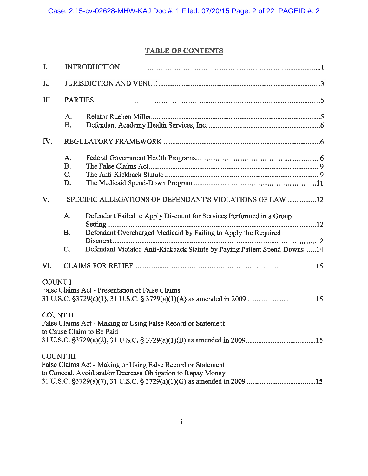# **TABLE OF CONTENTS**

| $\mathbf{I}$ .   |                             |                                                                                                                                               |  |
|------------------|-----------------------------|-----------------------------------------------------------------------------------------------------------------------------------------------|--|
| Π.               |                             |                                                                                                                                               |  |
| III.             |                             |                                                                                                                                               |  |
|                  | A.<br><b>B.</b>             |                                                                                                                                               |  |
| IV.              |                             |                                                                                                                                               |  |
|                  | A.<br><b>B.</b><br>C.<br>D. |                                                                                                                                               |  |
| V.               |                             | SPECIFIC ALLEGATIONS OF DEFENDANT'S VIOLATIONS OF LAW 12                                                                                      |  |
|                  | A.                          | Defendant Failed to Apply Discount for Services Performed in a Group<br>. 12                                                                  |  |
|                  | <b>B.</b><br>C.             | Defendant Overcharged Medicaid by Failing to Apply the Required<br>Defendant Violated Anti-Kickback Statute by Paying Patient Spend-Downs  14 |  |
| VI.              |                             |                                                                                                                                               |  |
| <b>COUNT I</b>   |                             | False Claims Act - Presentation of False Claims                                                                                               |  |
| <b>COUNT II</b>  |                             | False Claims Act - Making or Using False Record or Statement<br>to Cause Claim to Be Paid                                                     |  |
| <b>COUNT III</b> |                             | False Claims Act - Making or Using False Record or Statement<br>to Conceal, Avoid and/or Decrease Obligation to Repay Money                   |  |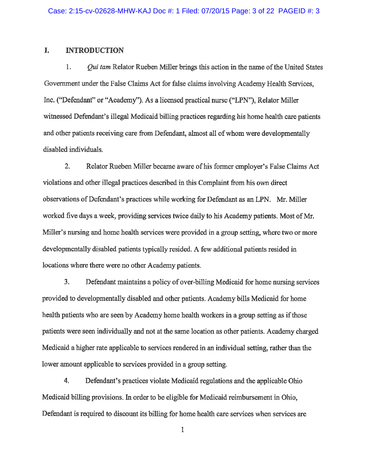#### I. **INTRODUCTION**

1. *Oui tam* Relator Rueben Miller brings this action in the name of the United States Government under the False Claims Act for false claims involving Academy Health Services, Inc. ("Defendant" or "Academy"). As a licensed practical nurse ("LPN"), Relator Miller witnessed Defendant's illegal Medicaid billing practices regarding his home health care patients and other patients receiving care from Defendant, almost all of whom were developmentally disabled individuals.

 $2.$ Relator Rueben Miller became aware of his former employer's False Claims Act violations and other illegal practices described in this Complaint from his own direct observations of Defendant's practices while working for Defendant as an LPN. Mr. Miller worked five days a week, providing services twice daily to his Academy patients. Most of Mr. Miller's nursing and home health services were provided in a group setting, where two or more developmentally disabled patients typically resided. A few additional patients resided in locations where there were no other Academy patients.

 $3.$ Defendant maintains a policy of over-billing Medicaid for home nursing services provided to developmentally disabled and other patients. Academy bills Medicaid for home health patients who are seen by Academy home health workers in a group setting as if those patients were seen individually and not at the same location as other patients. Academy charged Medicaid a higher rate applicable to services rendered in an individual setting, rather than the lower amount applicable to services provided in a group setting.

4. Defendant's practices violate Medicaid regulations and the applicable Ohio Medicaid billing provisions. In order to be eligible for Medicaid reimbursement in Ohio, Defendant is required to discount its billing for home health care services when services are

 $\mathbf{1}$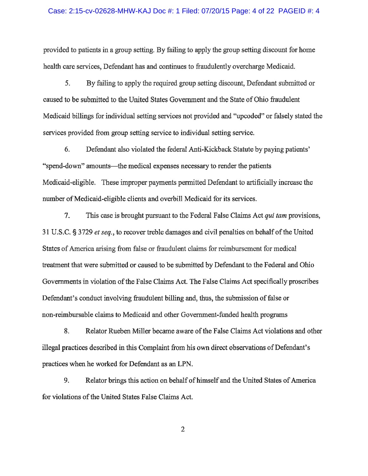### Case: 2:15-cv-02628-MHW-KAJ Doc #: 1 Filed: 07/20/15 Page: 4 of 22 PAGEID #: 4

provided to patients in a group setting. By failing to apply the group setting discount for home health care services, Defendant has and continues to fraudulently overcharge Medicaid.

5. By failing to apply the required group setting discount, Defendant submitted or caused to be submitted to the United States Government and the State of Ohio fraudulent Medicaid billings for individual setting services not provided and "upcoded" or falsely stated the services provided from group setting service to individual setting service.

6. Defendant also violated the federal Anti-Kickback Statute by paying patients' "spend-down" amounts—the medical expenses necessary to render the patients Medicaid-eligible. These improper payments permitted Defendant to artificially increase the number of Medicaid-eligible clients and overbill Medicaid for its services.

 $7.$ This case is brought pursuant to the Federal False Claims Act qui tam provisions, 31 U.S.C. § 3729 et seq., to recover treble damages and civil penalties on behalf of the United States of America arising from false or fraudulent claims for reimbursement for medical treatment that were submitted or caused to be submitted by Defendant to the Federal and Ohio Governments in violation of the False Claims Act. The False Claims Act specifically proscribes Defendant's conduct involving fraudulent billing and, thus, the submission of false or non-reimbursable claims to Medicaid and other Government-funded health programs

8. Relator Rueben Miller became aware of the False Claims Act violations and other illegal practices described in this Complaint from his own direct observations of Defendant's practices when he worked for Defendant as an LPN.

9. Relator brings this action on behalf of himself and the United States of America for violations of the United States False Claims Act.

 $\overline{2}$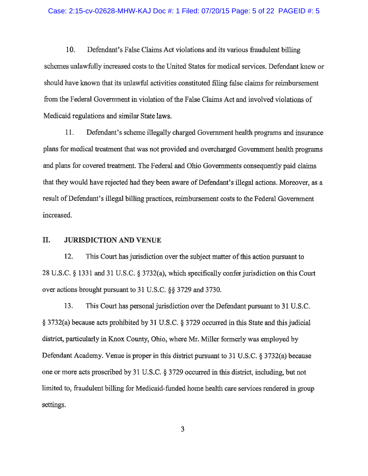### Case: 2:15-cv-02628-MHW-KAJ Doc #: 1 Filed: 07/20/15 Page: 5 of 22 PAGEID #: 5

10. Defendant's False Claims Act violations and its various fraudulent billing schemes unlawfully increased costs to the United States for medical services. Defendant knew or should have known that its unlawful activities constituted filing false claims for reimbursement from the Federal Government in violation of the False Claims Act and involved violations of Medicaid regulations and similar State laws.

11. Defendant's scheme illegally charged Government health programs and insurance plans for medical treatment that was not provided and overcharged Government health programs and plans for covered treatment. The Federal and Ohio Governments consequently paid claims that they would have rejected had they been aware of Defendant's illegal actions. Moreover, as a result of Defendant's illegal billing practices, reimbursement costs to the Federal Government increased.

#### Π. **JURISDICTION AND VENUE**

12. This Court has jurisdiction over the subject matter of this action pursuant to 28 U.S.C. § 1331 and 31 U.S.C. § 3732(a), which specifically confer jurisdiction on this Court over actions brought pursuant to 31 U.S.C. §§ 3729 and 3730.

13. This Court has personal jurisdiction over the Defendant pursuant to 31 U.S.C. § 3732(a) because acts prohibited by 31 U.S.C. § 3729 occurred in this State and this judicial district, particularly in Knox County, Ohio, where Mr. Miller formerly was employed by Defendant Academy. Venue is proper in this district pursuant to 31 U.S.C. § 3732(a) because one or more acts proscribed by 31 U.S.C. § 3729 occurred in this district, including, but not limited to, fraudulent billing for Medicaid-funded home health care services rendered in group settings.

 $\overline{\mathbf{3}}$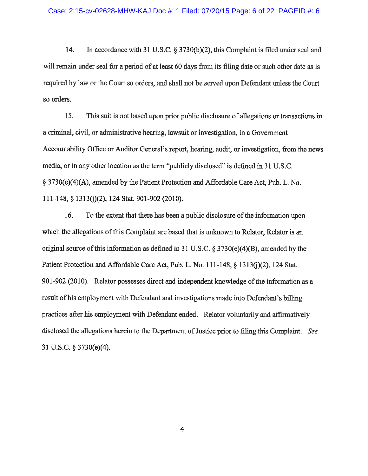14. In accordance with 31 U.S.C. § 3730(b)(2), this Complaint is filed under seal and will remain under seal for a period of at least 60 days from its filing date or such other date as is required by law or the Court so orders, and shall not be served upon Defendant unless the Court so orders.

15. This suit is not based upon prior public disclosure of allegations or transactions in a criminal, civil, or administrative hearing, lawsuit or investigation, in a Government Accountability Office or Auditor General's report, hearing, audit, or investigation, from the news media, or in any other location as the term "publicly disclosed" is defined in 31 U.S.C. § 3730(e)(4)(A), amended by the Patient Protection and Affordable Care Act, Pub. L. No. 111-148, § 1313(j)(2), 124 Stat. 901-902 (2010).

16. To the extent that there has been a public disclosure of the information upon which the allegations of this Complaint are based that is unknown to Relator, Relator is an original source of this information as defined in 31 U.S.C.  $\S 3730(e)(4)(B)$ , amended by the Patient Protection and Affordable Care Act, Pub. L. No. 111-148, § 1313(j)(2), 124 Stat. 901-902 (2010). Relator possesses direct and independent knowledge of the information as a result of his employment with Defendant and investigations made into Defendant's billing practices after his employment with Defendant ended. Relator voluntarily and affirmatively disclosed the allegations herein to the Department of Justice prior to filing this Complaint. See 31 U.S.C.  $\S 3730(e)(4)$ .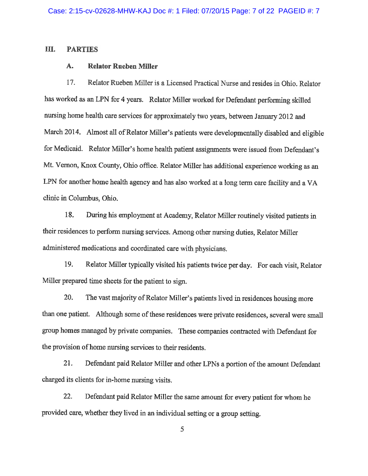#### Ш. **PARTIES**

#### A. **Relator Rueben Miller**

17. Relator Rueben Miller is a Licensed Practical Nurse and resides in Ohio, Relator has worked as an LPN for 4 years. Relator Miller worked for Defendant performing skilled nursing home health care services for approximately two years, between January 2012 and March 2014. Almost all of Relator Miller's patients were developmentally disabled and eligible for Medicaid. Relator Miller's home health patient assignments were issued from Defendant's Mt. Vernon, Knox County, Ohio office. Relator Miller has additional experience working as an LPN for another home health agency and has also worked at a long term care facility and a VA clinic in Columbus, Ohio.

18. During his employment at Academy, Relator Miller routinely visited patients in their residences to perform nursing services. Among other nursing duties, Relator Miller administered medications and coordinated care with physicians.

19. Relator Miller typically visited his patients twice per day. For each visit, Relator Miller prepared time sheets for the patient to sign.

20. The vast majority of Relator Miller's patients lived in residences housing more than one patient. Although some of these residences were private residences, several were small group homes managed by private companies. These companies contracted with Defendant for the provision of home nursing services to their residents.

21. Defendant paid Relator Miller and other LPNs a portion of the amount Defendant charged its clients for in-home nursing visits.

22. Defendant paid Relator Miller the same amount for every patient for whom he provided care, whether they lived in an individual setting or a group setting.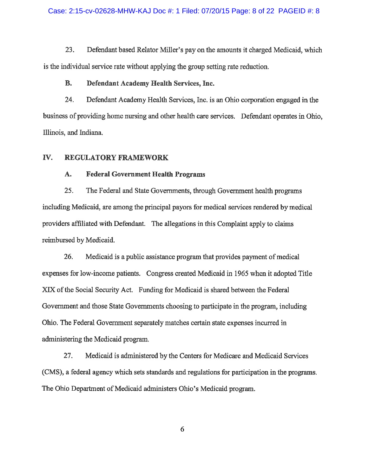23. Defendant based Relator Miller's pay on the amounts it charged Medicaid, which is the individual service rate without applying the group setting rate reduction.

#### **B.** Defendant Academy Health Services, Inc.

24. Defendant Academy Health Services, Inc. is an Ohio corporation engaged in the business of providing home nursing and other health care services. Defendant operates in Ohio, Illinois, and Indiana.

#### IV. **REGULATORY FRAMEWORK**

#### A. **Federal Government Health Programs**

25. The Federal and State Governments, through Government health programs including Medicaid, are among the principal payors for medical services rendered by medical providers affiliated with Defendant. The allegations in this Complaint apply to claims reimbursed by Medicaid.

26. Medicaid is a public assistance program that provides payment of medical expenses for low-income patients. Congress created Medicaid in 1965 when it adopted Title XIX of the Social Security Act. Funding for Medicaid is shared between the Federal Government and those State Governments choosing to participate in the program, including Ohio. The Federal Government separately matches certain state expenses incurred in administering the Medicaid program.

27. Medicaid is administered by the Centers for Medicare and Medicaid Services (CMS), a federal agency which sets standards and regulations for participation in the programs. The Ohio Department of Medicaid administers Ohio's Medicaid program.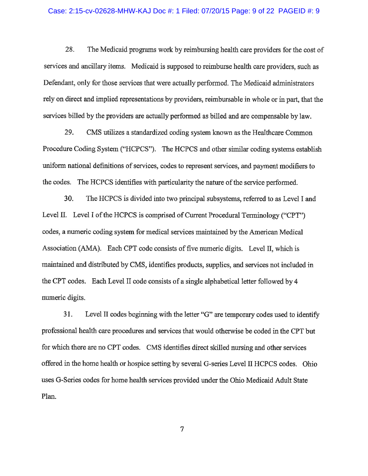### Case: 2:15-cv-02628-MHW-KAJ Doc #: 1 Filed: 07/20/15 Page: 9 of 22 PAGEID #: 9

28. The Medicaid programs work by reimbursing health care providers for the cost of services and ancillary items. Medicaid is supposed to reimburse health care providers, such as Defendant, only for those services that were actually performed. The Medicaid administrators rely on direct and implied representations by providers, reimbursable in whole or in part, that the services billed by the providers are actually performed as billed and are compensable by law.

29. CMS utilizes a standardized coding system known as the Healthcare Common Procedure Coding System ("HCPCS"). The HCPCS and other similar coding systems establish uniform national definitions of services, codes to represent services, and payment modifiers to the codes. The HCPCS identifies with particularity the nature of the service performed.

30. The HCPCS is divided into two principal subsystems, referred to as Level I and Level II. Level I of the HCPCS is comprised of Current Procedural Terminology ("CPT") codes, a numeric coding system for medical services maintained by the American Medical Association (AMA). Each CPT code consists of five numeric digits. Level II, which is maintained and distributed by CMS, identifies products, supplies, and services not included in the CPT codes. Each Level II code consists of a single alphabetical letter followed by 4 numeric digits.

31. Level II codes beginning with the letter "G" are temporary codes used to identify professional health care procedures and services that would otherwise be coded in the CPT but for which there are no CPT codes. CMS identifies direct skilled nursing and other services offered in the home health or hospice setting by several G-series Level II HCPCS codes. Ohio uses G-Series codes for home health services provided under the Ohio Medicaid Adult State Plan.

 $\overline{7}$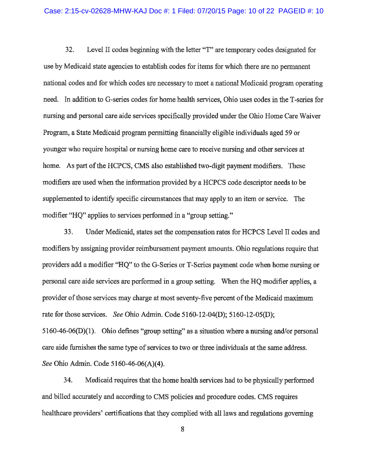$32.$ Level II codes beginning with the letter "T" are temporary codes designated for use by Medicaid state agencies to establish codes for items for which there are no permanent national codes and for which codes are necessary to meet a national Medicaid program operating need. In addition to G-series codes for home health services, Ohio uses codes in the T-series for nursing and personal care aide services specifically provided under the Ohio Home Care Waiver Program, a State Medicaid program permitting financially eligible individuals aged 59 or younger who require hospital or nursing home care to receive nursing and other services at home. As part of the HCPCS, CMS also established two-digit payment modifiers. These modifiers are used when the information provided by a HCPCS code descriptor needs to be supplemented to identify specific circumstances that may apply to an item or service. The modifier "HQ" applies to services performed in a "group setting."

33. Under Medicaid, states set the compensation rates for HCPCS Level II codes and modifiers by assigning provider reimbursement payment amounts. Ohio regulations require that providers add a modifier "HQ" to the G-Series or T-Series payment code when home nursing or personal care aide services are performed in a group setting. When the HO modifier applies, a provider of those services may charge at most seventy-five percent of the Medicaid maximum rate for those services. See Ohio Admin. Code 5160-12-04(D); 5160-12-05(D); 5160-46-06(D)(1). Ohio defines "group setting" as a situation where a nursing and/or personal care aide furnishes the same type of services to two or three individuals at the same address. See Ohio Admin. Code 5160-46-06(A)(4).

34. Medicaid requires that the home health services had to be physically performed and billed accurately and according to CMS policies and procedure codes. CMS requires healthcare providers' certifications that they complied with all laws and regulations governing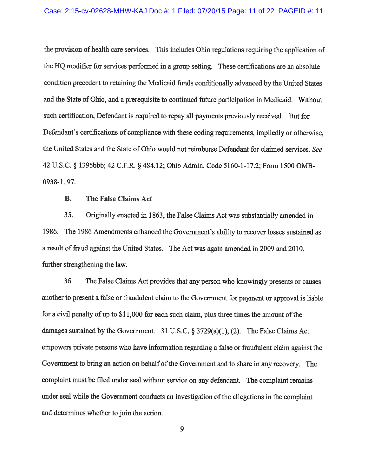the provision of health care services. This includes Ohio regulations requiring the application of the HQ modifier for services performed in a group setting. These certifications are an absolute condition precedent to retaining the Medicaid funds conditionally advanced by the United States and the State of Ohio, and a prerequisite to continued future participation in Medicaid. Without such certification, Defendant is required to repay all payments previously received. But for Defendant's certifications of compliance with these coding requirements, impliedly or otherwise. the United States and the State of Ohio would not reimburse Defendant for claimed services. See 42 U.S.C. § 1395bbb; 42 C.F.R. § 484.12; Ohio Admin. Code 5160-1-17.2; Form 1500 OMB-0938-1197.

#### **B.** The False Claims Act

35. Originally enacted in 1863, the False Claims Act was substantially amended in 1986. The 1986 Amendments enhanced the Government's ability to recover losses sustained as a result of fraud against the United States. The Act was again amended in 2009 and 2010, further strengthening the law.

36. The False Claims Act provides that any person who knowingly presents or causes another to present a false or fraudulent claim to the Government for payment or approval is liable for a civil penalty of up to \$11,000 for each such claim, plus three times the amount of the damages sustained by the Government. 31 U.S.C.  $\S$  3729(a)(1), (2). The False Claims Act empowers private persons who have information regarding a false or fraudulent claim against the Government to bring an action on behalf of the Government and to share in any recovery. The complaint must be filed under seal without service on any defendant. The complaint remains under seal while the Government conducts an investigation of the allegations in the complaint and determines whether to join the action.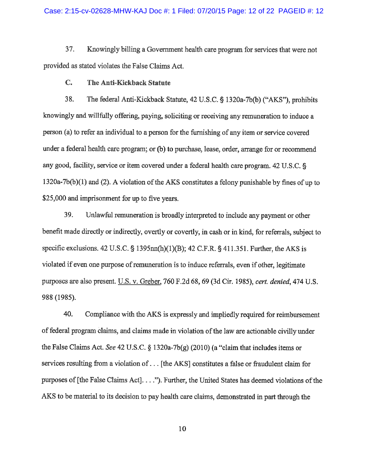37. Knowingly billing a Government health care program for services that were not provided as stated violates the False Claims Act.

#### $C_{\bullet}$ The Anti-Kickback Statute

38. The federal Anti-Kickback Statute, 42 U.S.C. § 1320a-7b(b) ("AKS"), prohibits knowingly and willfully offering, paying, soliciting or receiving any remuneration to induce a person (a) to refer an individual to a person for the furnishing of any item or service covered under a federal health care program; or (b) to purchase, lease, order, arrange for or recommend any good, facility, service or item covered under a federal health care program. 42 U.S.C. §  $1320a-7b(b)(1)$  and (2). A violation of the AKS constitutes a felony punishable by fines of up to \$25,000 and imprisonment for up to five years.

39. Unlawful remuneration is broadly interpreted to include any payment or other benefit made directly or indirectly, overtly or covertly, in cash or in kind, for referrals, subject to specific exclusions. 42 U.S.C. § 1395 $mn(h)(1)(B)$ ; 42 C.F.R. § 411.351. Further, the AKS is violated if even one purpose of remuneration is to induce referrals, even if other, legitimate purposes are also present. U.S. v. Greber, 760 F.2d 68, 69 (3d Cir. 1985), cert. denied, 474 U.S. 988 (1985).

40. Compliance with the AKS is expressly and impliedly required for reimbursement of federal program claims, and claims made in violation of the law are actionable civilly under the False Claims Act. See 42 U.S.C. § 1320a-7b(g) (2010) (a "claim that includes items or services resulting from a violation of . . . [the AKS] constitutes a false or fraudulent claim for purposes of [the False Claims Act]...."). Further, the United States has deemed violations of the AKS to be material to its decision to pay health care claims, demonstrated in part through the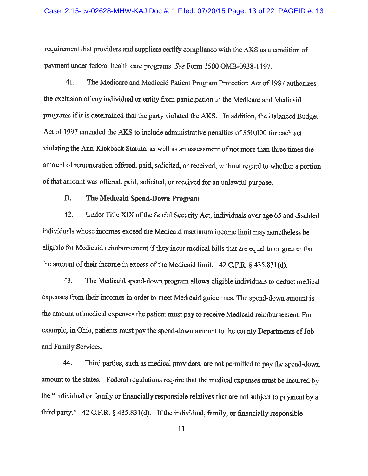requirement that providers and suppliers certify compliance with the AKS as a condition of payment under federal health care programs. See Form 1500 OMB-0938-1197.

41. The Medicare and Medicaid Patient Program Protection Act of 1987 authorizes the exclusion of any individual or entity from participation in the Medicare and Medicaid programs if it is determined that the party violated the AKS. In addition, the Balanced Budget Act of 1997 amended the AKS to include administrative penalties of \$50,000 for each act violating the Anti-Kickback Statute, as well as an assessment of not more than three times the amount of remuneration offered, paid, solicited, or received, without regard to whether a portion of that amount was offered, paid, solicited, or received for an unlawful purpose.

#### D. The Medicaid Spend-Down Program

42. Under Title XIX of the Social Security Act, individuals over age 65 and disabled individuals whose incomes exceed the Medicaid maximum income limit may nonetheless be eligible for Medicaid reimbursement if they incur medical bills that are equal to or greater than the amount of their income in excess of the Medicaid limit.  $42$  C.F.R. § 435.831(d).

43. The Medicaid spend-down program allows eligible individuals to deduct medical expenses from their incomes in order to meet Medicaid guidelines. The spend-down amount is the amount of medical expenses the patient must pay to receive Medicaid reimbursement. For example, in Ohio, patients must pay the spend-down amount to the county Departments of Job and Family Services.

44. Third parties, such as medical providers, are not permitted to pay the spend-down amount to the states. Federal regulations require that the medical expenses must be incurred by the "individual or family or financially responsible relatives that are not subject to payment by a third party."  $42$  C.F.R. § 435.831(d). If the individual, family, or financially responsible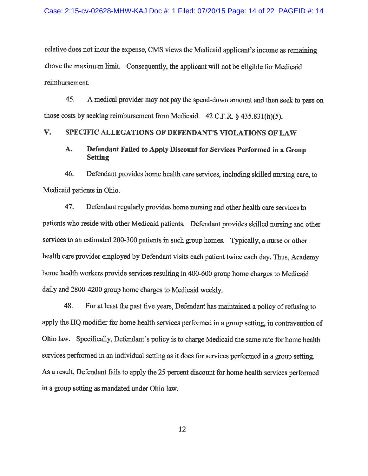relative does not incur the expense, CMS views the Medicaid applicant's income as remaining above the maximum limit. Consequently, the applicant will not be eligible for Medicaid reimbursement.

45. A medical provider may not pay the spend-down amount and then seek to pass on those costs by seeking reimbursement from Medicaid.  $42$  C.F.R. §  $435.831(h)(5)$ .

#### V. SPECIFIC ALLEGATIONS OF DEFENDANT'S VIOLATIONS OF LAW

#### A. Defendant Failed to Apply Discount for Services Performed in a Group **Setting**

46. Defendant provides home health care services, including skilled nursing care, to Medicaid patients in Ohio.

47. Defendant regularly provides home nursing and other health care services to patients who reside with other Medicaid patients. Defendant provides skilled nursing and other services to an estimated 200-300 patients in such group homes. Typically, a nurse or other health care provider employed by Defendant visits each patient twice each day. Thus, Academy home health workers provide services resulting in 400-600 group home charges to Medicaid daily and 2800-4200 group home charges to Medicaid weekly.

48. For at least the past five years, Defendant has maintained a policy of refusing to apply the HQ modifier for home health services performed in a group setting, in contravention of Ohio law. Specifically, Defendant's policy is to charge Medicaid the same rate for home health services performed in an individual setting as it does for services performed in a group setting. As a result, Defendant fails to apply the 25 percent discount for home health services performed in a group setting as mandated under Ohio law.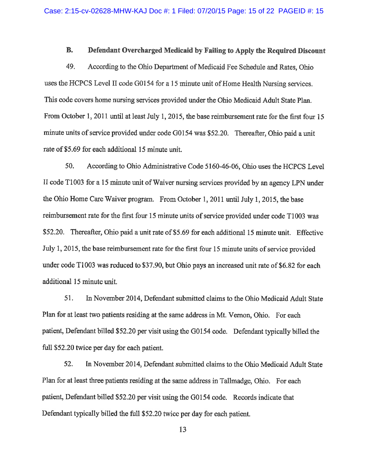#### **B.** Defendant Overcharged Medicaid by Failing to Apply the Required Discount

49. According to the Ohio Department of Medicaid Fee Schedule and Rates, Ohio uses the HCPCS Level II code G0154 for a 15 minute unit of Home Health Nursing services. This code covers home nursing services provided under the Ohio Medicaid Adult State Plan. From October 1, 2011 until at least July 1, 2015, the base reimbursement rate for the first four 15 minute units of service provided under code G0154 was \$52.20. Thereafter, Ohio paid a unit rate of \$5.69 for each additional 15 minute unit.

50. According to Ohio Administrative Code 5160-46-06, Ohio uses the HCPCS Level II code T1003 for a 15 minute unit of Waiver nursing services provided by an agency LPN under the Ohio Home Care Waiver program. From October 1, 2011 until July 1, 2015, the base reimbursement rate for the first four 15 minute units of service provided under code T1003 was \$52.20. Thereafter, Ohio paid a unit rate of \$5.69 for each additional 15 minute unit. Effective July 1, 2015, the base reimbursement rate for the first four 15 minute units of service provided under code T1003 was reduced to \$37.90, but Ohio pays an increased unit rate of \$6.82 for each additional 15 minute unit.

51. In November 2014, Defendant submitted claims to the Ohio Medicaid Adult State Plan for at least two patients residing at the same address in Mt. Vernon, Ohio. For each patient, Defendant billed \$52.20 per visit using the G0154 code. Defendant typically billed the full \$52.20 twice per day for each patient.

52. In November 2014, Defendant submitted claims to the Ohio Medicaid Adult State Plan for at least three patients residing at the same address in Tallmadge, Ohio. For each patient, Defendant billed \$52.20 per visit using the G0154 code. Records indicate that Defendant typically billed the full \$52.20 twice per day for each patient.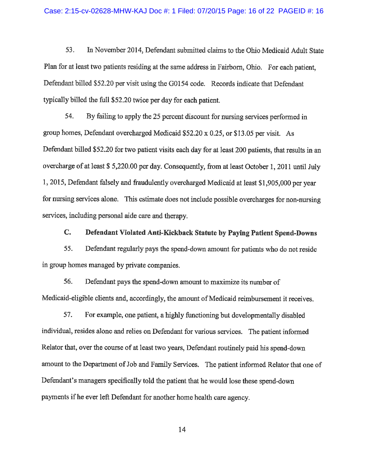53. In November 2014, Defendant submitted claims to the Ohio Medicaid Adult State Plan for at least two patients residing at the same address in Fairborn, Ohio. For each patient, Defendant billed \$52.20 per visit using the G0154 code. Records indicate that Defendant typically billed the full \$52.20 twice per day for each patient.

54. By failing to apply the 25 percent discount for nursing services performed in group homes, Defendant overcharged Medicaid \$52.20 x 0.25, or \$13.05 per visit. As Defendant billed \$52.20 for two patient visits each day for at least 200 patients, that results in an overcharge of at least \$5,220.00 per day. Consequently, from at least October 1, 2011 until July 1, 2015, Defendant falsely and fraudulently overcharged Medicaid at least \$1,905,000 per year for nursing services alone. This estimate does not include possible overcharges for non-nursing services, including personal aide care and therapy.

#### $C_{\bullet}$ Defendant Violated Anti-Kickback Statute by Paying Patient Spend-Downs

55. Defendant regularly pays the spend-down amount for patients who do not reside in group homes managed by private companies.

56. Defendant pays the spend-down amount to maximize its number of Medicaid-eligible clients and, accordingly, the amount of Medicaid reimbursement it receives.

57. For example, one patient, a highly functioning but developmentally disabled individual, resides alone and relies on Defendant for various services. The patient informed Relator that, over the course of at least two years, Defendant routinely paid his spend-down amount to the Department of Job and Family Services. The patient informed Relator that one of Defendant's managers specifically told the patient that he would lose these spend-down payments if he ever left Defendant for another home health care agency.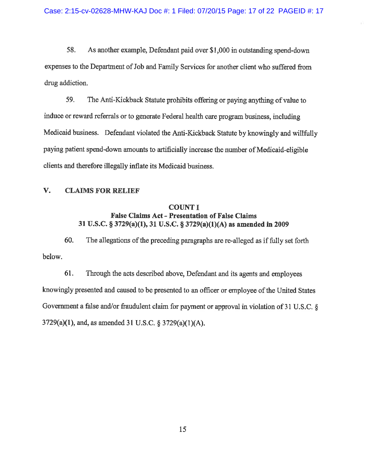58. As another example, Defendant paid over \$1,000 in outstanding spend-down expenses to the Department of Job and Family Services for another client who suffered from drug addiction.

59. The Anti-Kickback Statute prohibits offering or paying anything of value to induce or reward referrals or to generate Federal health care program business, including Medicaid business. Defendant violated the Anti-Kickback Statute by knowingly and willfully paying patient spend-down amounts to artificially increase the number of Medicaid-eligible clients and therefore illegally inflate its Medicaid business.

#### V. **CLAIMS FOR RELIEF**

### **COUNT I False Claims Act - Presentation of False Claims** 31 U.S.C. § 3729(a)(1), 31 U.S.C. § 3729(a)(1)(A) as amended in 2009

60. The allegations of the preceding paragraphs are re-alleged as if fully set forth below.

61. Through the acts described above, Defendant and its agents and employees knowingly presented and caused to be presented to an officer or employee of the United States Government a false and/or fraudulent claim for payment or approval in violation of 31 U.S.C. §  $3729(a)(1)$ , and, as amended 31 U.S.C. § 3729(a)(1)(A).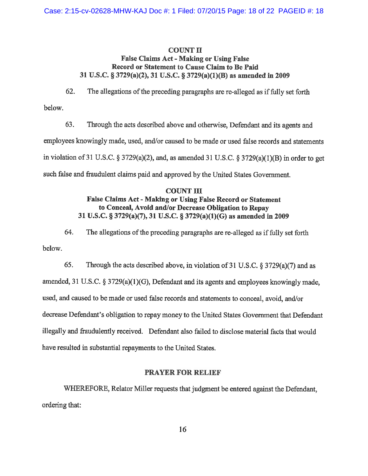### **COUNT II**

### **False Claims Act - Making or Using False** Record or Statement to Cause Claim to Be Paid 31 U.S.C. § 3729(a)(2), 31 U.S.C. § 3729(a)(1)(B) as amended in 2009

The allegations of the preceding paragraphs are re-alleged as if fully set forth 62.

below.

63. Through the acts described above and otherwise, Defendant and its agents and employees knowingly made, used, and/or caused to be made or used false records and statements in violation of 31 U.S.C.  $\S 3729(a)(2)$ , and, as amended 31 U.S.C.  $\S 3729(a)(1)(B)$  in order to get such false and fraudulent claims paid and approved by the United States Government.

## **COUNT III** False Claims Act - Making or Using False Record or Statement to Conceal, Avoid and/or Decrease Obligation to Repay 31 U.S.C. § 3729(a)(7), 31 U.S.C. § 3729(a)(1)(G) as amended in 2009

64. The allegations of the preceding paragraphs are re-alleged as if fully set forth below.

65. Through the acts described above, in violation of 31 U.S.C.  $\S 3729(a)(7)$  and as amended, 31 U.S.C. § 3729(a)(1)(G), Defendant and its agents and employees knowingly made, used, and caused to be made or used false records and statements to conceal, avoid, and/or decrease Defendant's obligation to repay money to the United States Government that Defendant illegally and fraudulently received. Defendant also failed to disclose material facts that would have resulted in substantial repayments to the United States.

### **PRAYER FOR RELIEF**

WHEREFORE, Relator Miller requests that judgment be entered against the Defendant, ordering that: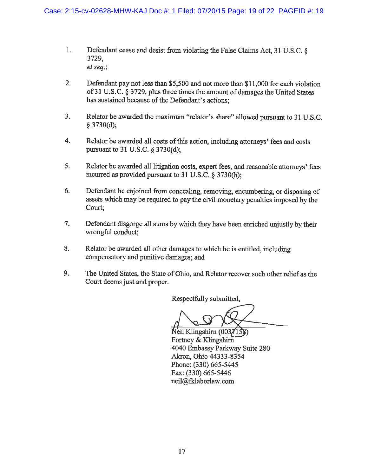- $1.$ Defendant cease and desist from violating the False Claims Act, 31 U.S.C. 8 3729, et seq.;
- $2.$ Defendant pay not less than \$5,500 and not more than \$11,000 for each violation of 31 U.S.C. § 3729, plus three times the amount of damages the United States has sustained because of the Defendant's actions:
- $3.$ Relator be awarded the maximum "relator's share" allowed pursuant to 31 U.S.C. § 3730(d);
- 4. Relator be awarded all costs of this action, including attorneys' fees and costs pursuant to 31 U.S.C. § 3730(d);
- 5. Relator be awarded all litigation costs, expert fees, and reasonable attorneys' fees incurred as provided pursuant to 31 U.S.C. § 3730(h);
- $6.$ Defendant be enjoined from concealing, removing, encumbering, or disposing of assets which may be required to pay the civil monetary penalties imposed by the Court;
- $7.$ Defendant disgorge all sums by which they have been enriched uniustly by their wrongful conduct:
- 8. Relator be awarded all other damages to which he is entitled, including compensatory and punitive damages; and
- 9. The United States, the State of Ohio, and Relator recover such other relief as the Court deems just and proper.

Respectfully submitted,

Neil Klingshirn (0037158) Fortney & Klingshirn 4040 Embassy Parkway Suite 280 Akron, Ohio 44333-8354 Phone: (330) 665-5445 Fax: (330) 665-5446 neil@fklaborlaw.com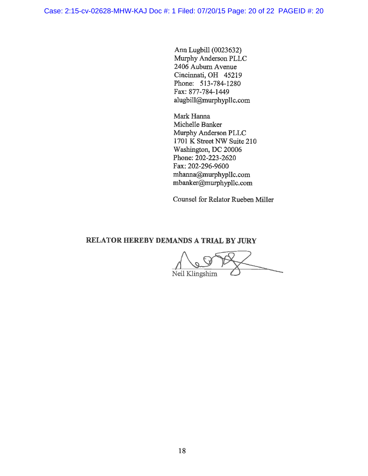Ann Lugbill (0023632) Murphy Anderson PLLC 2406 Auburn Avenue Cincinnati, OH 45219 Phone: 513-784-1280 Fax: 877-784-1449 alugbill@murphypllc.com

Mark Hanna Michelle Banker Murphy Anderson PLLC 1701 K Street NW Suite 210 Washington, DC 20006 Phone: 202-223-2620 Fax: 202-296-9600 mhanna@murphypllc.com mbanker@murphypllc.com

Counsel for Relator Rueben Miller

## RELATOR HEREBY DEMANDS A TRIAL BY JURY

Neil Klingshirn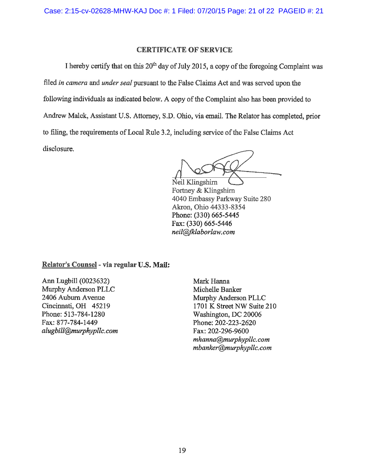## **CERTIFICATE OF SERVICE**

I hereby certify that on this 20<sup>th</sup> day of July 2015, a copy of the foregoing Complaint was filed in camera and under seal pursuant to the False Claims Act and was served upon the following individuals as indicated below. A copy of the Complaint also has been provided to Andrew Malek, Assistant U.S. Attorney, S.D. Ohio, via email. The Relator has completed, prior to filing, the requirements of Local Rule 3.2, including service of the False Claims Act disclosure.

Neil Klingshirn Fortney & Klingshirn 4040 Embassy Parkway Suite 280 Akron, Ohio 44333-8354 Phone: (330) 665-5445 Fax: (330) 665-5446 neil@fklaborlaw.com

Relator's Counsel - via regular U.S. Mail:

Ann Lugbill (0023632) Murphy Anderson PLLC 2406 Auburn Avenue Cincinnati, OH 45219 Phone: 513-784-1280 Fax: 877-784-1449 alugbill@murphypllc.com

Mark Hanna Michelle Banker Murphy Anderson PLLC 1701 K Street NW Suite 210 Washington, DC 20006 Phone: 202-223-2620 Fax: 202-296-9600 mhanna@murphypllc.com mbanker@murphypllc.com